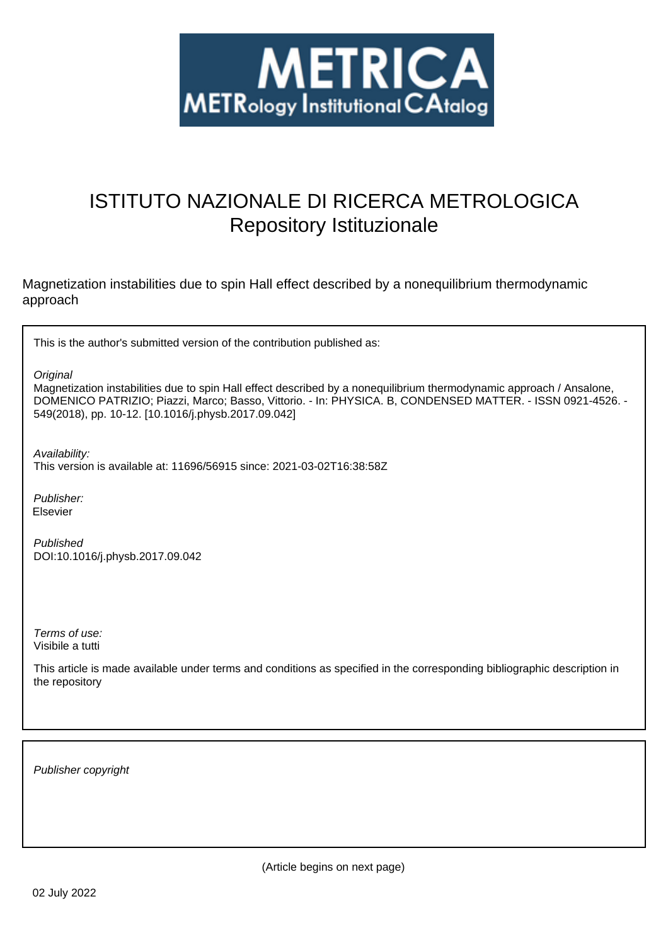

# ISTITUTO NAZIONALE DI RICERCA METROLOGICA Repository Istituzionale

Magnetization instabilities due to spin Hall effect described by a nonequilibrium thermodynamic approach

This is the author's submitted version of the contribution published as:

**Original** 

Magnetization instabilities due to spin Hall effect described by a nonequilibrium thermodynamic approach / Ansalone, DOMENICO PATRIZIO; Piazzi, Marco; Basso, Vittorio. - In: PHYSICA. B, CONDENSED MATTER. - ISSN 0921-4526. - 549(2018), pp. 10-12. [10.1016/j.physb.2017.09.042]

Availability:

This version is available at: 11696/56915 since: 2021-03-02T16:38:58Z

Publisher: Elsevier

Published DOI:10.1016/j.physb.2017.09.042

Terms of use: Visibile a tutti

This article is made available under terms and conditions as specified in the corresponding bibliographic description in the repository

Publisher copyright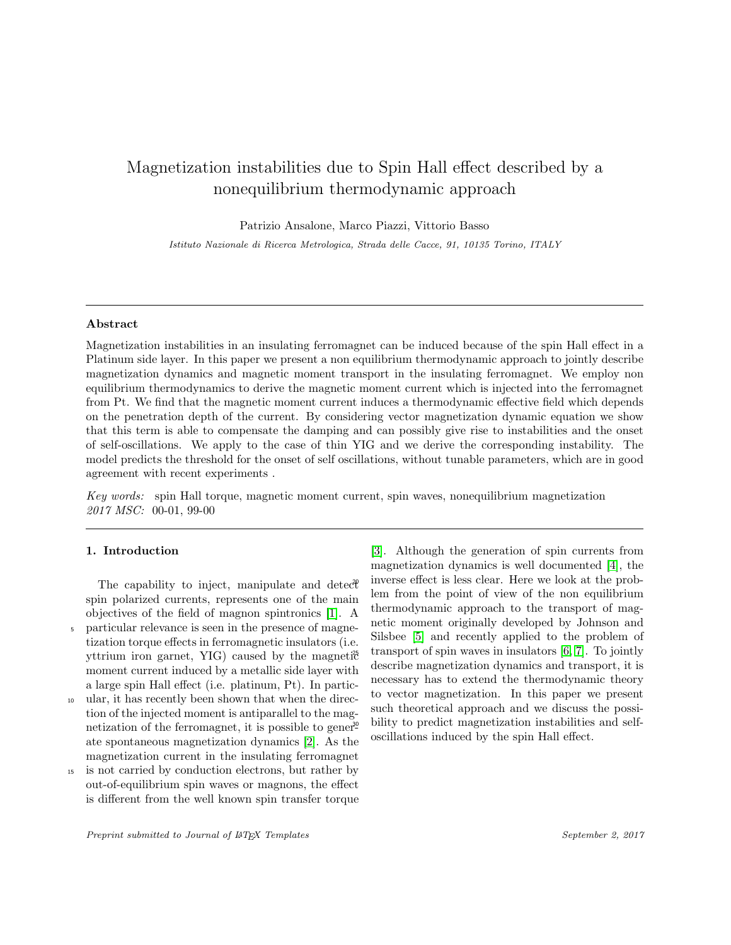# Magnetization instabilities due to Spin Hall effect described by a nonequilibrium thermodynamic approach

Patrizio Ansalone, Marco Piazzi, Vittorio Basso

Istituto Nazionale di Ricerca Metrologica, Strada delle Cacce, 91, 10135 Torino, ITALY

#### Abstract

Magnetization instabilities in an insulating ferromagnet can be induced because of the spin Hall effect in a Platinum side layer. In this paper we present a non equilibrium thermodynamic approach to jointly describe magnetization dynamics and magnetic moment transport in the insulating ferromagnet. We employ non equilibrium thermodynamics to derive the magnetic moment current which is injected into the ferromagnet from Pt. We find that the magnetic moment current induces a thermodynamic effective field which depends on the penetration depth of the current. By considering vector magnetization dynamic equation we show that this term is able to compensate the damping and can possibly give rise to instabilities and the onset of self-oscillations. We apply to the case of thin YIG and we derive the corresponding instability. The model predicts the threshold for the onset of self oscillations, without tunable parameters, which are in good agreement with recent experiments .

Key words: spin Hall torque, magnetic moment current, spin waves, nonequilibrium magnetization 2017 MSC: 00-01, 99-00

### 1. Introduction

The capability to inject, manipulate and detect spin polarized currents, represents one of the main objectives of the field of magnon spintronics [1]. A <sup>5</sup> particular relevance is seen in the presence of magnetization torque effects in ferromagnetic insulators (i.e. yttrium iron garnet, YIG) caused by the magneti $\mathfrak{F}$ moment current induced by a metallic side layer with a large spin Hall effect (i.e. platinum, Pt). In partic-

- <sup>10</sup> ular, it has recently been shown that when the direction of the injected moment is antiparallel to the magnetization of the ferromagnet, it is possible to gener<sup>30</sup> ate spontaneous magnetization dynamics [2]. As the magnetization current in the insulating ferromagnet
- is not carried by conduction electrons, but rather by out-of-equilibrium spin waves or magnons, the effect is different from the well known spin transfer torque

[3]. Although the generation of spin currents from magnetization dynamics is well documented [4], the inverse effect is less clear. Here we look at the problem from the point of view of the non equilibrium thermodynamic approach to the transport of magnetic moment originally developed by Johnson and Silsbee [5] and recently applied to the problem of transport of spin waves in insulators  $[6, 7]$ . To jointly describe magnetization dynamics and transport, it is necessary has to extend the thermodynamic theory to vector magnetization. In this paper we present such theoretical approach and we discuss the possibility to predict magnetization instabilities and selfoscillations induced by the spin Hall effect.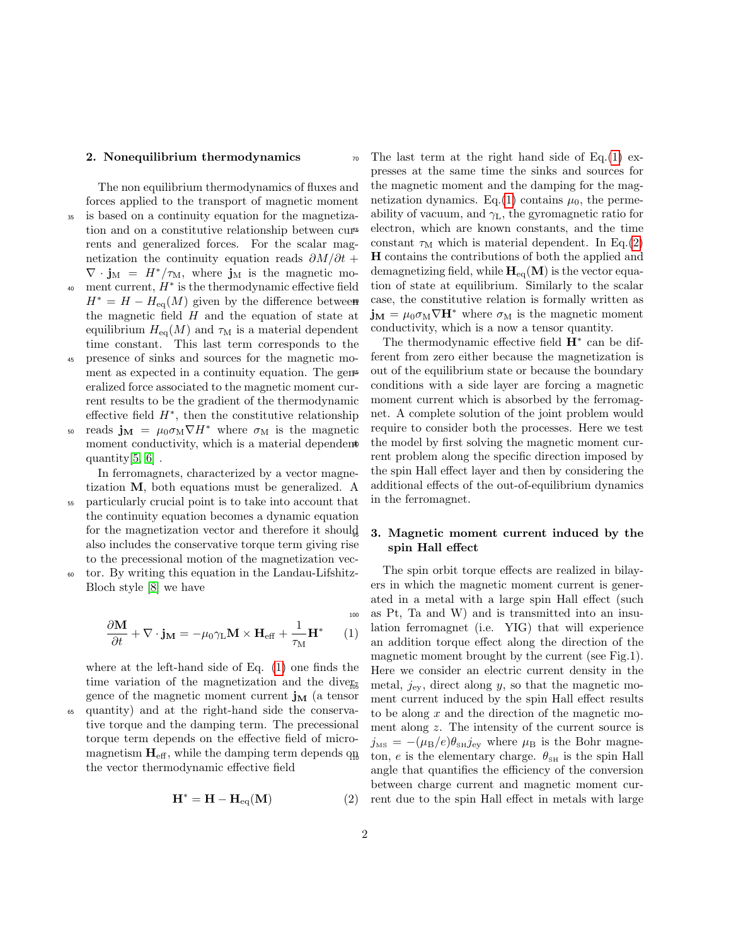#### 2. Nonequilibrium thermodynamics

The non equilibrium thermodynamics of fluxes and forces applied to the transport of magnetic moment <sup>35</sup> is based on a continuity equation for the magnetization and on a constitutive relationship between currents and generalized forces. For the scalar magnetization the continuity equation reads  $\partial M/\partial t$  +  $\nabla \cdot \mathbf{j}_M = H^*/\tau_M$ , where  $\mathbf{j}_M$  is the magnetic mo- $\frac{40}{40}$  ment current,  $H^*$  is the thermodynamic effective field  $H^* = H - H_{eq}(M)$  given by the difference between the magnetic field  $H$  and the equation of state at equilibrium  $H_{eq}(M)$  and  $\tau_M$  is a material dependent time constant. This last term corresponds to the

- <sup>45</sup> presence of sinks and sources for the magnetic moment as expected in a continuity equation. The general eralized force associated to the magnetic moment current results to be the gradient of the thermodynamic effective field  $H^*$ , then the constitutive relationship
- <sup>50</sup> reads  $\mathbf{j}_M = \mu_0 \sigma_M \nabla H^*$  where  $\sigma_M$  is the magnetic moment conductivity, which is a material dependent quantity[5, 6] .

In ferromagnets, characterized by a vector magnetization M, both equations must be generalized. A

- <sup>55</sup> particularly crucial point is to take into account that the continuity equation becomes a dynamic equation for the magnetization vector and therefore it should also includes the conservative torque term giving rise to the precessional motion of the magnetization vec-
- <sup>60</sup> tor. By writing this equation in the Landau-Lifshitz-Bloch style [8] we have

$$
\frac{\partial \mathbf{M}}{\partial t} + \nabla \cdot \mathbf{j}_{\mathbf{M}} = -\mu_0 \gamma_{\mathbf{L}} \mathbf{M} \times \mathbf{H}_{\text{eff}} + \frac{1}{\tau_{\mathbf{M}}} \mathbf{H}^* \qquad (1)
$$

where at the left-hand side of Eq. (1) one finds the time variation of the magnetization and the divergence of the magnetic moment current  $\mathbf{j}_M$  (a tensor quantity) and at the right-hand side the conservative torque and the damping term. The precessional torque term depends on the effective field of micromagnetism  $\mathbf{H}_{\text{eff}}$ , while the damping term depends  $q_B$ the vector thermodynamic effective field

$$
\mathbf{H}^* = \mathbf{H} - \mathbf{H}_{\text{eq}}(\mathbf{M})
$$
 (2)

 $\pi$ <sup>0</sup> The last term at the right hand side of Eq.(1) expresses at the same time the sinks and sources for the magnetic moment and the damping for the magnetization dynamics. Eq.(1) contains  $\mu_0$ , the permeability of vacuum, and  $\gamma_L$ , the gyromagnetic ratio for <sup>75</sup> electron, which are known constants, and the time constant  $\tau_M$  which is material dependent. In Eq.(2) H contains the contributions of both the applied and demagnetizing field, while  $H_{eq}(M)$  is the vector equation of state at equilibrium. Similarly to the scalar case, the constitutive relation is formally written as  $\mathbf{j}_{\mathbf{M}} = \mu_0 \sigma_{\mathbf{M}} \nabla \mathbf{H}^*$  where  $\sigma_{\mathbf{M}}$  is the magnetic moment conductivity, which is a now a tensor quantity.

The thermodynamic effective field  $H^*$  can be different from zero either because the magnetization is out of the equilibrium state or because the boundary conditions with a side layer are forcing a magnetic moment current which is absorbed by the ferromagnet. A complete solution of the joint problem would require to consider both the processes. Here we test the model by first solving the magnetic moment current problem along the specific direction imposed by the spin Hall effect layer and then by considering the additional effects of the out-of-equilibrium dynamics in the ferromagnet.

### <sup>95</sup> 3. Magnetic moment current induced by the spin Hall effect

The spin orbit torque effects are realized in bilayers in which the magnetic moment current is generated in a metal with a large spin Hall effect (such as Pt, Ta and W) and is transmitted into an insulation ferromagnet (i.e. YIG) that will experience an addition torque effect along the direction of the magnetic moment brought by the current (see Fig.1). Here we consider an electric current density in the metal,  $j_{\text{ev}}$ , direct along y, so that the magnetic moment current induced by the spin Hall effect results to be along  $x$  and the direction of the magnetic moment along z. The intensity of the current source is  $j_{\text{MS}} = -(\mu_{\text{B}}/e)\theta_{\text{SM}}j_{\text{ey}}$  where  $\mu_{\text{B}}$  is the Bohr magneton, e is the elementary charge.  $\theta_{\text{SH}}$  is the spin Hall angle that quantifies the efficiency of the conversion between charge current and magnetic moment current due to the spin Hall effect in metals with large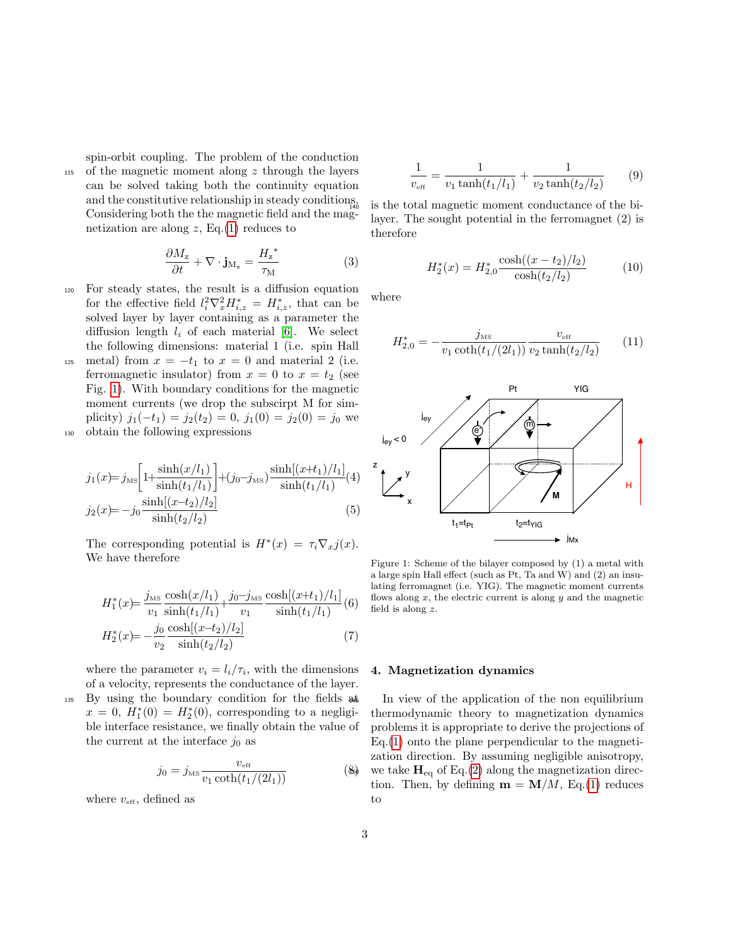spin-orbit coupling. The problem of the conduction

<sup>115</sup> of the magnetic moment along z through the layers can be solved taking both the continuity equation and the constitutive relationship in steady conditions. Considering both the the magnetic field and the magnetization are along  $z$ , Eq.(1) reduces to

$$
\frac{\partial M_{\rm z}}{\partial t} + \nabla \cdot \mathbf{j}_{\rm M_{\rm z}} = \frac{H_{\rm z}^*}{\tau_{\rm M}} \tag{3}
$$

- <sup>120</sup> For steady states, the result is a diffusion equation for the effective field  $l_i^2 \nabla_x^2 H_{i,z}^* = H_{i,z}^*$ , that can be solved layer by layer containing as a parameter the diffusion length  $l_i$  of each material [6]. We select the following dimensions: material 1 (i.e. spin Hall
- 125 metal) from  $x = -t_1$  to  $x = 0$  and material 2 (i.e. ferromagnetic insulator) from  $x = 0$  to  $x = t_2$  (see Fig. 1). With boundary conditions for the magnetic moment currents (we drop the subscirpt M for simplicity)  $j_1(-t_1) = j_2(t_2) = 0$ ,  $j_1(0) = j_2(0) = j_0$  we <sup>130</sup> obtain the following expressions

$$
j_1(x) = j_{\rm MS} \left[ 1 + \frac{\sinh(x/l_1)}{\sinh(t_1/l_1)} \right] + (j_0 - j_{\rm MS}) \frac{\sinh[(x+t_1)/l_1]}{\sinh(t_1/l_1)}(4)
$$
  
\n
$$
j_2(x) = -j_0 \frac{\sinh[(x-t_2)/l_2]}{\sinh(t_2/l_2)} \tag{5}
$$

The corresponding potential is  $H^*(x) = \tau_i \nabla_x j(x)$ . We have therefore

$$
H_1^*(x) = \frac{j_{\text{MS}} \cosh(x/l_1)}{v_1 \sinh(t_1/l_1)} + \frac{j_0 - j_{\text{MS}} \cosh[(x+t_1)/l_1]}{v_1 \sinh(t_1/l_1)}(6)
$$

$$
H_2^*(x) = -\frac{j_0}{v_2} \frac{\cosh[(x-t_2)/l_2]}{\sinh(t_2/l_2)}(7)
$$

where the parameter  $v_i = l_i / \tau_i$ , with the dimensions of a velocity, represents the conductance of the layer. <sup>135</sup> By using the boundary condition for the fields at  $x = 0, H_1^*(0) = H_2^*(0)$ , corresponding to a negligible interface resistance, we finally obtain the value of the current at the interface  $j_0$  as

$$
j_0 = j_{\text{MS}} \frac{v_{\text{eff}}}{v_1 \coth(t_1/(2l_1))}
$$
 (8)

where  $v_{\text{eff}}$ , defined as

$$
\frac{1}{v_{\text{eff}}} = \frac{1}{v_1 \tanh(t_1/l_1)} + \frac{1}{v_2 \tanh(t_2/l_2)}\tag{9}
$$

is the total magnetic moment conductance of the bilayer. The sought potential in the ferromagnet (2) is therefore

$$
H_2^*(x) = H_{2,0}^* \frac{\cosh((x - t_2)/l_2)}{\cosh(t_2/l_2)}\tag{10}
$$

where

$$
H_{2,0}^{*} = -\frac{j_{\text{MS}}}{v_1 \coth(t_1/(2l_1))} \frac{v_{\text{eff}}}{v_2 \tanh(t_2/l_2)} \tag{11}
$$



Figure 1: Scheme of the bilayer composed by (1) a metal with flows along  $x$ , the electric current is along  $y$  and the magnetic a large spin Hall effect (such as Pt, Ta and W) and (2) an insulating ferromagnet (i.e. YIG). The magnetic moment currents field is along z.

## 4. Magnetization dynamics

1.<br> **44** In view of the application of the non equilibrium thermodynamic theory to magnetization dynamics problems it is appropriate to derive the projections of Eq.(1) onto the plane perpendicular to the magnetization direction. By assuming negligible anisotropy,  $\mathbf{H}_{eq}$  we take  $\mathbf{H}_{eq}$  of Eq.(2) along the magnetization direction. Then, by defining  $\mathbf{m} = \mathbf{M}/M$ , Eq.(1) reduces to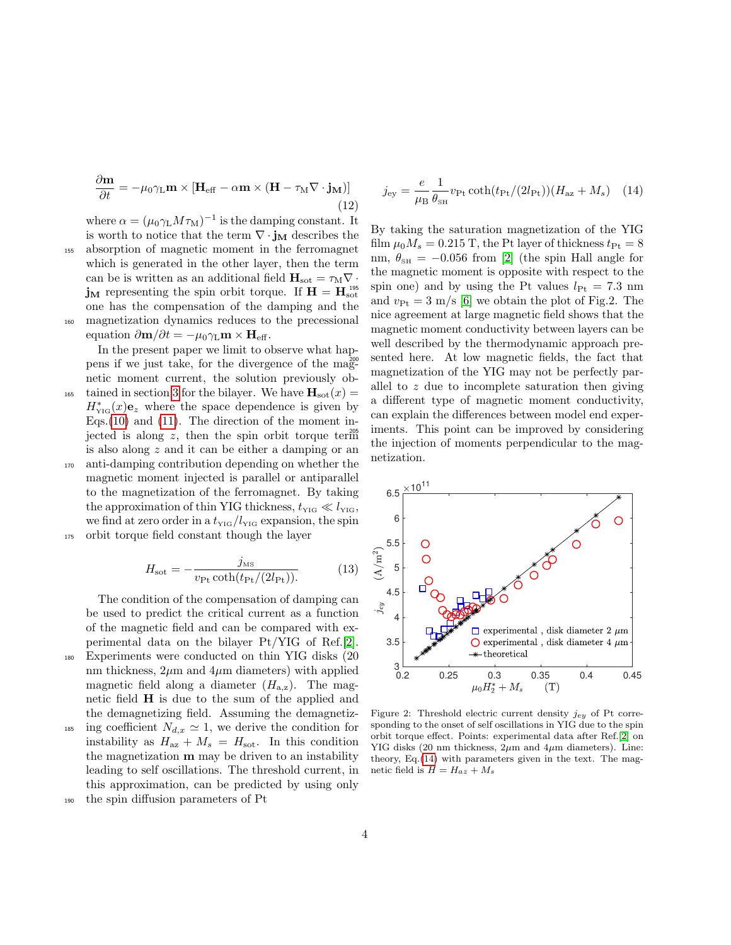$$
\frac{\partial \mathbf{m}}{\partial t} = -\mu_0 \gamma_L \mathbf{m} \times \left[ \mathbf{H}_{\text{eff}} - \alpha \mathbf{m} \times (\mathbf{H} - \tau_M \nabla \cdot \mathbf{j}_M) \right]
$$
(12)

where  $\alpha = (\mu_0 \gamma_L M \tau_M)^{-1}$  is the damping constant. It is worth to notice that the term  $\nabla \cdot \mathbf{j}_M$  describes the

<sup>155</sup> absorption of magnetic moment in the ferromagnet which is generated in the other layer, then the term can be is written as an additional field  $H_{\text{soft}} = \tau_M \nabla \cdot$  $\mathbf{j}_M$  representing the spin orbit torque. If  $\mathbf{H} = \mathbf{H}_{\text{soft}}^{195}$ one has the compensation of the damping and the <sup>160</sup> magnetization dynamics reduces to the precessional equation  $\partial \mathbf{m}/\partial t = -\mu_0 \gamma_L \mathbf{m} \times \mathbf{H}_{\text{eff}}$ .

In the present paper we limit to observe what happens if we just take, for the divergence of the magnetic moment current, the solution previously obtained in section 3 for the bilayer. We have  $\mathbf{H}_{\text{soft}}(x) =$  $H_{\text{YIG}}^{*}(x)\mathbf{e}_z$  where the space dependence is given by Eqs.  $(10)$  and  $(11)$ . The direction of the moment injected is along z, then the spin orbit torque term is also along z and it can be either a damping or an <sup>170</sup> anti-damping contribution depending on whether the magnetic moment injected is parallel or antiparallel to the magnetization of the ferromagnet. By taking the approximation of thin YIG thickness,  $t_{\text{YIG}} \ll l_{\text{YIG}}$ , we find at zero order in a  $t_{\text{YIG}}/l_{\text{YIG}}$  expansion, the spin <sup>175</sup> orbit torque field constant though the layer

$$
H_{\text{sot}} = -\frac{j_{\text{ms}}}{v_{\text{Pt}} \coth(t_{\text{Pt}}/(2l_{\text{Pt}}))}.
$$
 (13)

The condition of the compensation of damping can be used to predict the critical current as a function of the magnetic field and can be compared with experimental data on the bilayer Pt/YIG of Ref.[2]. <sup>180</sup> Experiments were conducted on thin YIG disks (20 nm thickness,  $2\mu$ m and  $4\mu$ m diameters) with applied magnetic field along a diameter  $(H_{a,z})$ . The magnetic field  $H$  is due to the sum of the applied and the demagnetizing field. Assuming the demagnetiz-<sup>185</sup> ing coefficient  $N_{d,x} \simeq 1$ , we derive the condition for instability as  $H_{az} + M_s = H_{sot}$ . In this condition the magnetization  **may be driven to an instability** leading to self oscillations. The threshold current, in this approximation, can be predicted by using only

<sup>190</sup> the spin diffusion parameters of Pt

$$
j_{\rm ey} = \frac{e}{\mu_{\rm B}} \frac{1}{\theta_{\rm SH}} v_{\rm Pt} \coth(t_{\rm Pt}/(2l_{\rm Pt})) (H_{\rm az} + M_s) \quad (14)
$$

By taking the saturation magnetization of the YIG film  $\mu_0 M_s = 0.215$  T, the Pt layer of thickness  $t_{\text{Pt}} = 8$ nm,  $\theta_{\text{SH}} = -0.056$  from [2] (the spin Hall angle for the magnetic moment is opposite with respect to the spin one) and by using the Pt values  $l_{\text{Pt}} = 7.3 \text{ nm}$ and  $v_{\text{Pt}} = 3 \text{ m/s}$  [6] we obtain the plot of Fig.2. The nice agreement at large magnetic field shows that the magnetic moment conductivity between layers can be well described by the thermodynamic approach presented here. At low magnetic fields, the fact that magnetization of the YIG may not be perfectly parallel to z due to incomplete saturation then giving a different type of magnetic moment conductivity, can explain the differences between model end experiments. This point can be improved by considering the injection of moments perpendicular to the magnetization.



Figure 2: Threshold electric current density  $j_{ey}$  of Pt corresponding to the onset of self oscillations in YIG due to the spin orbit torque effect. Points: experimental data after Ref.[2] on YIG disks (20 nm thickness,  $2\mu$ m and  $4\mu$ m diameters). Line: theory, Eq.(14) with parameters given in the text. The magnetic field is  $H = H_{az} + M_s$